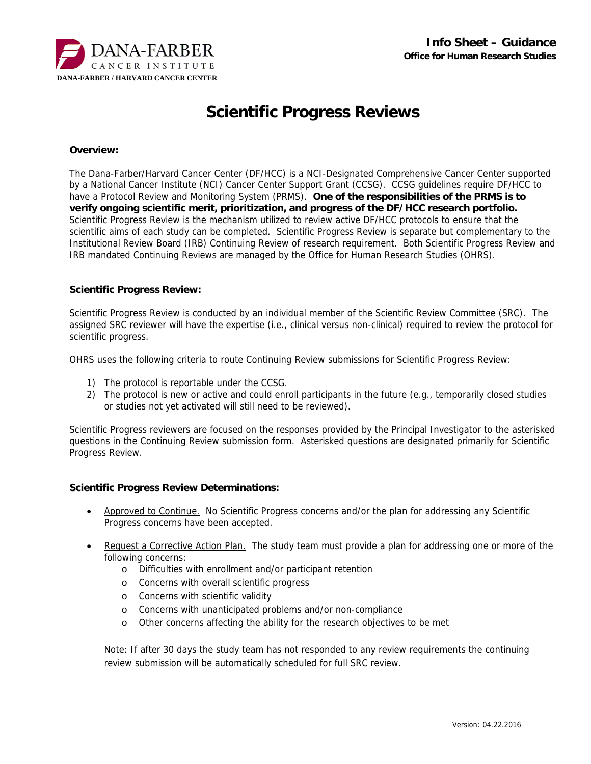

# **Scientific Progress Reviews**

### **Overview:**

The Dana-Farber/Harvard Cancer Center (DF/HCC) is a NCI-Designated Comprehensive Cancer Center supported by a National Cancer Institute (NCI) Cancer Center Support Grant (CCSG). CCSG guidelines require DF/HCC to have a Protocol Review and Monitoring System (PRMS). **One of the responsibilities of the PRMS is to verify ongoing scientific merit, prioritization, and progress of the DF/HCC research portfolio.** Scientific Progress Review is the mechanism utilized to review active DF/HCC protocols to ensure that the scientific aims of each study can be completed. Scientific Progress Review is separate but complementary to the Institutional Review Board (IRB) Continuing Review of research requirement. Both Scientific Progress Review and IRB mandated Continuing Reviews are managed by the Office for Human Research Studies (OHRS).

### **Scientific Progress Review:**

Scientific Progress Review is conducted by an individual member of the Scientific Review Committee (SRC). The assigned SRC reviewer will have the expertise (i.e., clinical versus non-clinical) required to review the protocol for scientific progress.

OHRS uses the following criteria to route Continuing Review submissions for Scientific Progress Review:

- 1) The protocol is reportable under the CCSG.
- 2) The protocol is new or active and could enroll participants in the future (e.g., temporarily closed studies or studies not yet activated will still need to be reviewed).

Scientific Progress reviewers are focused on the responses provided by the Principal Investigator to the asterisked questions in the Continuing Review submission form. Asterisked questions are designated primarily for Scientific Progress Review.

### **Scientific Progress Review Determinations:**

- Approved to Continue. No Scientific Progress concerns and/or the plan for addressing any Scientific Progress concerns have been accepted.
- Request a Corrective Action Plan. The study team must provide a plan for addressing one or more of the following concerns:
	- o Difficulties with enrollment and/or participant retention
	- o Concerns with overall scientific progress
	- o Concerns with scientific validity
	- o Concerns with unanticipated problems and/or non-compliance
	- o Other concerns affecting the ability for the research objectives to be met

Note: If after 30 days the study team has not responded to any review requirements the continuing review submission will be automatically scheduled for full SRC review.